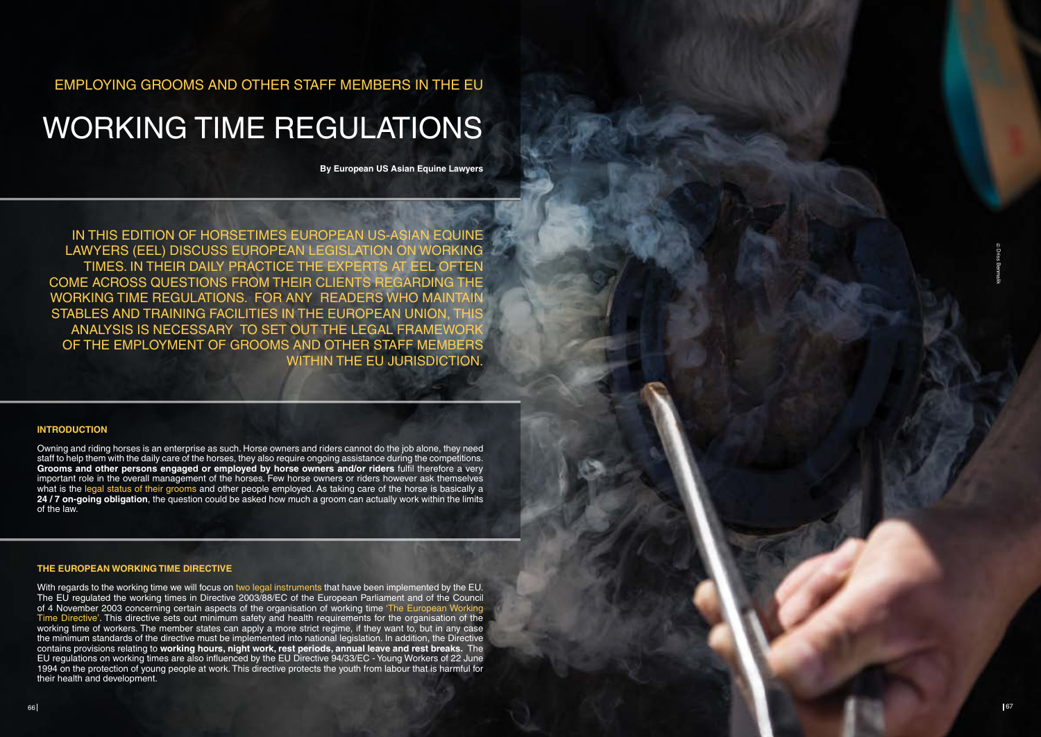EMPLOYING GROOMS AND OTHER STAFF MEMBERS IN THE EU

# WORKING TIME REGULATIONS

**By European US Asian Equine Lawyers**

IN THIS EDITION OF HORSETIMES EUROPEAN US-ASIAN EC Lawyers (EEL) discuss European legislation on working TIMES. IN THEIR DAILY PRACTICE THE EXPERTS AT EEL C come across questions from their clients regarding the working time regulations. For any readers who maintain stables and training facilities in the European Union, this analysis is necessary to set out the legal framework of the employment of grooms and other staff members WITHIN THE EU JURISDICTION.

### **I NTRODUCTIO N**

Owning and riding horses is an enterprise as such. Horse owners and riders cannot do the job alone, they need staff to help them with the daily care of the horses, they also require ongoing assistance during the competitions. **Grooms and other persons engaged or employed by horse owners and/or riders** fulfil therefore a very important role in the overall management of the horses. Few horse owners or riders however ask themselves what is the legal status of their grooms and other people employed. As taking care of the horse is basically a **24 / 7 on-going obligation**, the question could be asked how much a groom can actually work within the limits of the law.

With regards to the working time we will focus on two legal instruments that have been implemented by the EU. The EU regulated the working times in Directive 2003/88/EC of the European Parliament and of the Council of 4 November 2003 concerning certain aspects of the organisation of working time 'The European Working Time Directive'. This directive sets out minimum safety and health requirements for the organisation of the working time of workers. The member states can apply a more strict regime, if they want to, but in any case the minimum standards of the directive must be implemented into national legislation. In addition, the Directive contains provisions relating to **working hours, night work, rest periods, annual leave and rest breaks.** The EU regulations on working times are also influenced by the EU Directive 94/33/EC - Young Workers of 22 June 1994 on the protection of young people at work. This directive protects the youth from labour that is harmful for their health and development.

## **THE EUROPEA N WORKI NG TIME DIRECTIVE**

Driss Benmalik 66 67